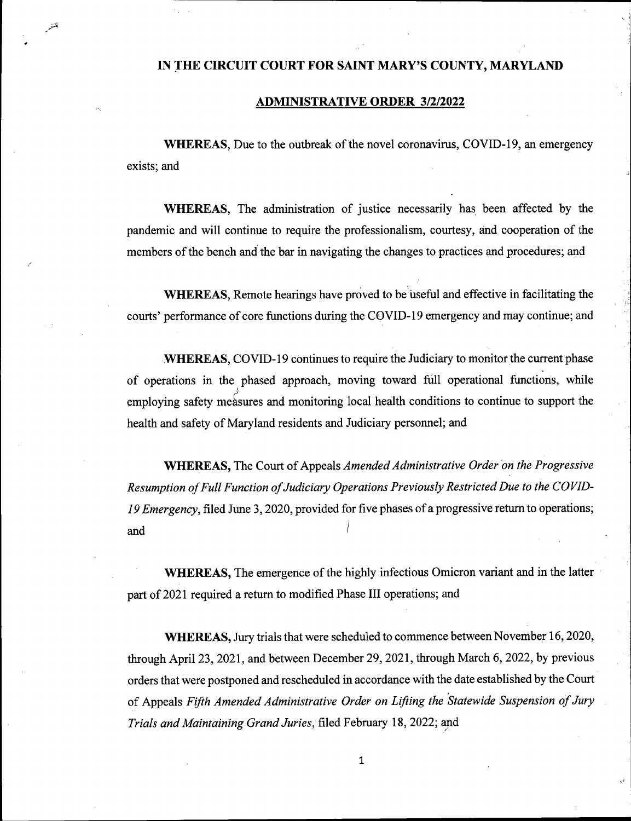## **IN THE CIRCUIT COURT FOR SAINT MARY'S COUNTY, MARYLAND**

## **ADMINISTRATIVE ORDER 3/2/2022**

**WHEREAS**, Due to the outbreak of the novel coronavirus, COVID-19, an emergency exists; and

**WHEREAS,** The administration of justice necessarily has been affected by the pandemic and will continue to require the professionalism, courtesy, and cooperation of the members of the bench and the bar in navigating the changes to practices and procedures; and

WHEREAS, Remote hearings have proved to be useful and effective in facilitating the courts' performance of core functions during the COVID-19 emergency and may continue; and

**WHEREAS, COVID-19 continues to require the Judiciary to monitor the current phase** of operations in the phased approach, moving toward full operational functions, while employing safety measures and monitoring local health conditions to continue to support the health and safety of Maryland residents and Judiciary personnel; and

**WHEREAS, The Court of Appeals** *Amended Administrative Order* on the Progressive *Resumption ofFull Function ofJudiciary Operations Previously RestrictedDue to the COVID-*19 *Emergency*, filed June 3, 2020, provided for five phases of a progressive return to operations; and

**WHEREAS,** The emergence of the highly infectious Omicron variant and in the latter part of 2021 required a return to modified Phase III operations; and

WHEREAS, Jury trials that were scheduled to commence between November 16, 2020, through April 23, 2021, and between December 29, 2021, through March 6, 2022, by previous orders that were postponed and rescheduled in accordance with the date established by the Court of Appeals *Fifth Amended Administrative Order on Lifting the Statewide Suspension ofJury Trials andMaintaining Grand Juries,* filed February 18, 2022; and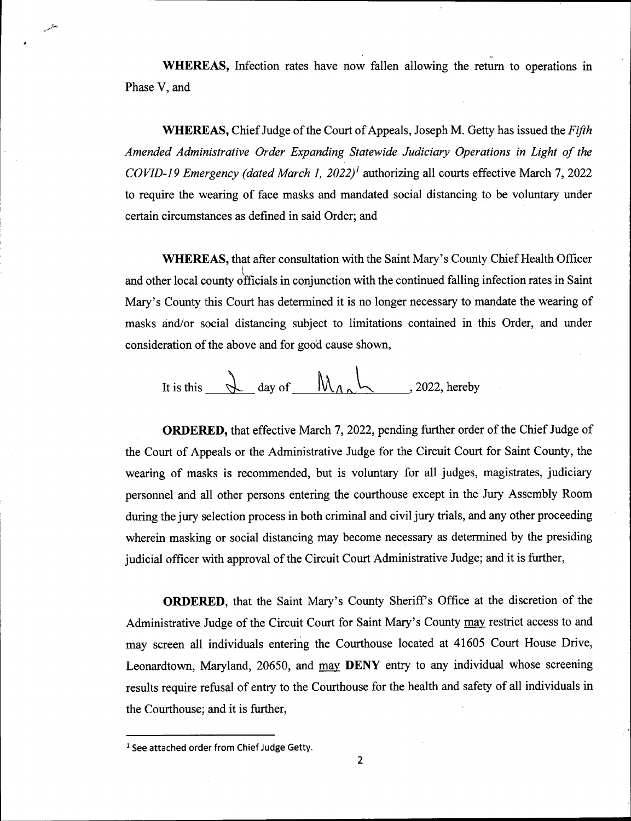**WHEREAS,** Infection rates have now fallen allowing the return to operations in Phase V, and

**WHEREAS,** Chief Judge of the Court of Appeals, Joseph M. Getty has issued the *Fifth Amended Administrative Order Expanding Statewide Judiciary Operations in Light of the COVID-19 Emergency (dated March 1, 2022)1* authorizing all courts effective March 7, 2022 to require the wearing of face masks and mandated social distancing to be voluntary under certain circumstances as defined in said Order; and

**WHEREAS,** that after consultation with the Saint Mary's County Chief Health Officer and other local county officials in conjunction with the continued falling infection rates in Saint Mary's County this Court has determined it is no longer necessary to mandate the wearing of masks and/or social distancing subject to limitations contained in this Order, and under consideration of the above and for good cause shown,

It is this 
$$
\frac{d}{dx}
$$
 day of  $\frac{d}{dx}$ , 2022, hereby

**ORDERED,** that effective March 7, 2022, pending further order of the Chief Judge of the Court of Appeals or the Administrative Judge for the Circuit Court for Saint County, the wearing of masks is recommended, but is voluntary for all judges, magistrates, judiciary personnel and all other persons entering the courthouse except in the Jury Assembly Room during the jury selection process in both criminal and civil jury trials, and any other proceeding wherein masking or social distancing may become necessary as determined by the presiding judicial officer with approval of the Circuit Court Administrative Judge; and it is further,

**ORDERED**, that the Saint Mary's County Sheriff's Office at the discretion of the Administrative Judge of the Circuit Court for Saint Mary's County may restrict access to and may screen all individuals entering the Courthouse located at 41605 Court House Drive, Leonardtown, Maryland, 20650, and may **DENY** entry to any individual whose screening results require refusal of entry to the Courthouse for the health and safety of all individuals in the Courthouse; and it is further,

*7\** v-"

<sup>1</sup> See attached order from Chief Judge Getty.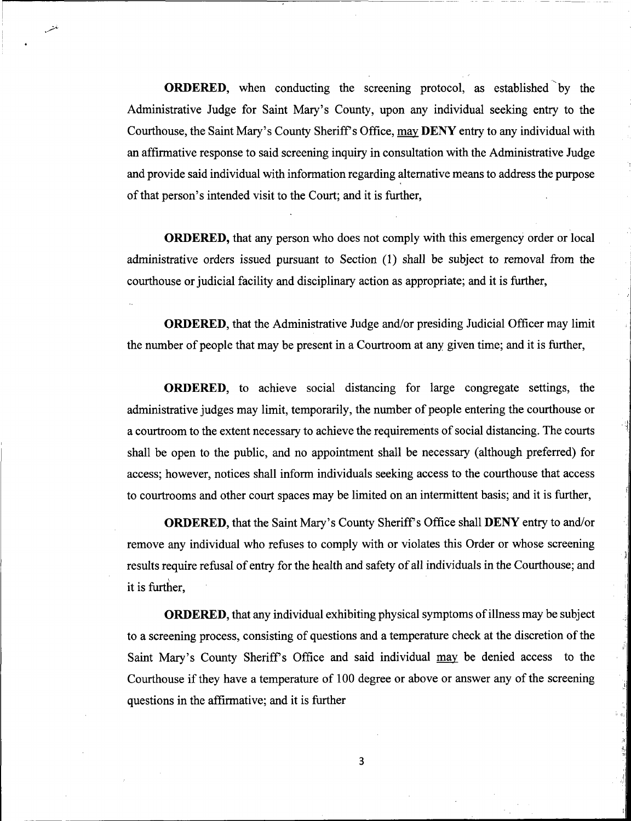ORDERED, when conducting the screening protocol, as established by the Administrative Judge for Saint Mary's County, upon any individual seeking entry to the Courthouse, the Saint Mary's County Sheriff's Office, may DENY entry to any individual with an affirmative response to said screening inquiry in consultation with the Administrative Judge and provide said individual with information regarding alternative meansto address the purpose of that person's intended visit to the Court; and it is further,

ORDERED, that any person who does not comply with this emergency order or local administrative orders issued pursuant to Section (1) shall be subject to removal *from* the courthouse or judicial facility and disciplinary action as appropriate; and it is further,

ORDERED, that the Administrative Judge and/or presiding Judicial Officer may limit the number of people that may be present in a Courtroom at any given time; and it is further,

ORDERED, to achieve social distancing for large congregate settings, the administrative judges may limit, temporarily, the number of people entering the courthouse or a courtroom to the extent necessary to achieve the requirements of social distancing. The courts shall be open to the public, and no appointment shall be necessary (although preferred) for access; however, notices shall inform individuals seeking access to the courthouse that access to courtrooms and other court spaces may be limited on an intermittent basis; and it is further, **!**

ORDERED, that the Saint Mary's County Sheriffs Office shall DENY entry to and/or remove any individual who refuses to comply with or violates this Order or whose screening results require refusal of entry for the health and safety of all individuals in the Courthouse; and it is further,

**ORDERED**, that any individual exhibiting physical symptoms of illness may be subject to a screening process, consisting of questions and a temperature check at the discretion of the Saint Mary's County Sheriffs Office and said individual may be denied access to the Courthouse if they have a temperature of 100 degree or above or answer any of the screening questions in the affirmative; and it is further

**,!**

;l -11.;

**4**

**3**